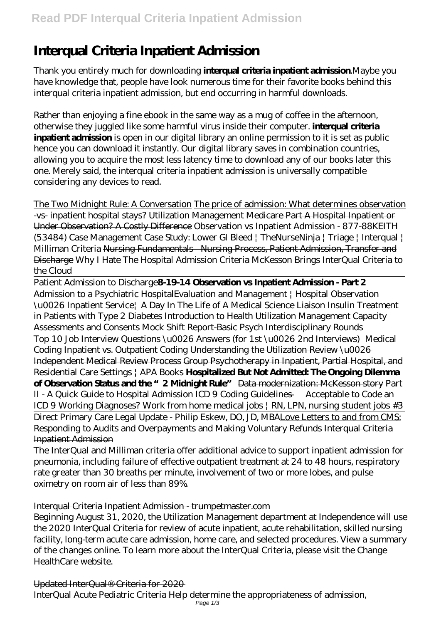# **Interqual Criteria Inpatient Admission**

Thank you entirely much for downloading **interqual criteria inpatient admission**.Maybe you have knowledge that, people have look numerous time for their favorite books behind this interqual criteria inpatient admission, but end occurring in harmful downloads.

Rather than enjoying a fine ebook in the same way as a mug of coffee in the afternoon, otherwise they juggled like some harmful virus inside their computer. **interqual criteria inpatient admission** is open in our digital library an online permission to it is set as public hence you can download it instantly. Our digital library saves in combination countries, allowing you to acquire the most less latency time to download any of our books later this one. Merely said, the interqual criteria inpatient admission is universally compatible considering any devices to read.

The Two Midnight Rule: A Conversation The price of admission: What determines observation -vs- inpatient hospital stays? Utilization Management Medicare Part A Hospital Inpatient or Under Observation? A Costly Difference Observation vs Inpatient Admission - 877-88KEITH (53484) Case Management Case Study: Lower GI Bleed | TheNurseNinja | Triage | Interqual | Milliman Criteria Nursing Fundamentals - Nursing Process, Patient Admission, Transfer and Discharge *Why I Hate The Hospital Admission Criteria McKesson Brings InterQual Criteria to the Cloud*

Patient Admission to Discharge**8-19-14 Observation vs Inpatient Admission - Part 2**

Admission to a Psychiatric Hospital*Evaluation and Management | Hospital Observation \u0026 Inpatient Service| A Day In The Life of A Medical Science Liaison Insulin Treatment in Patients with Type 2 Diabetes Introduction to Health Utilization Management Capacity Assessments and Consents Mock Shift Report-Basic Psych Interdisciplinary Rounds*

Top 10 Job Interview Questions \u0026 Answers (for 1st \u0026 2nd Interviews) Medical Coding Inpatient vs. Outpatient Coding Understanding the Utilization Review \u0026 Independent Medical Review Process Group Psychotherapy in Inpatient, Partial Hospital, and Residential Care Settings | APA Books **Hospitalized But Not Admitted: The Ongoing Dilemma of Observation Status and the "2 Midnight Rule"** Data modernization: McKesson story *Part II - A Quick Guide to Hospital Admission ICD 9 Coding Guidelines — Acceptable to Code an ICD 9 Working Diagnoses? Work from home medical jobs | RN, LPN, nursing student jobs #3* Direct Primary Care Legal Update - Philip Eskew, DO, JD, MBALove Letters to and from CMS: Responding to Audits and Overpayments and Making Voluntary Refunds Interqual Criteria Inpatient Admission

The InterQual and Milliman criteria offer additional advice to support inpatient admission for pneumonia, including failure of effective outpatient treatment at 24 to 48 hours, respiratory rate greater than 30 breaths per minute, involvement of two or more lobes, and pulse oximetry on room air of less than 89%.

# Interqual Criteria Inpatient Admission - trumpetmaster.com

Beginning August 31, 2020, the Utilization Management department at Independence will use the 2020 InterQual Criteria for review of acute inpatient, acute rehabilitation, skilled nursing facility, long-term acute care admission, home care, and selected procedures. View a summary of the changes online. To learn more about the InterQual Criteria, please visit the Change HealthCare website.

Updated InterQual® Criteria for 2020 InterQual Acute Pediatric Criteria Help determine the appropriateness of admission, Page 1/3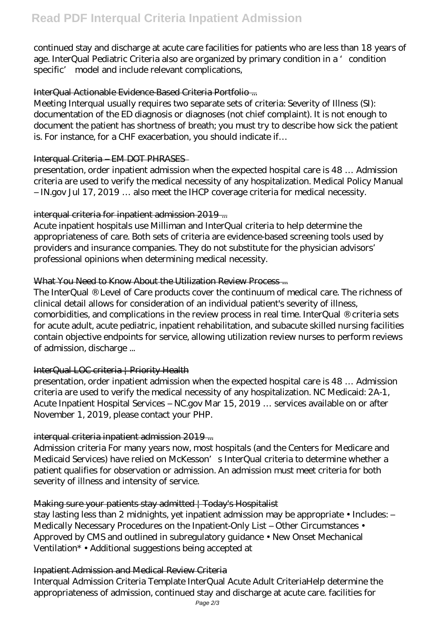continued stay and discharge at acute care facilities for patients who are less than 18 years of age. InterQual Pediatric Criteria also are organized by primary condition in a 'condition specific' model and include relevant complications,

## InterQual Actionable Evidence-Based Criteria Portfolio ...

Meeting Interqual usually requires two separate sets of criteria: Severity of Illness (SI): documentation of the ED diagnosis or diagnoses (not chief complaint). It is not enough to document the patient has shortness of breath; you must try to describe how sick the patient is. For instance, for a CHF exacerbation, you should indicate if…

## Interqual Criteria – EM DOT PHRASES

presentation, order inpatient admission when the expected hospital care is 48 … Admission criteria are used to verify the medical necessity of any hospitalization. Medical Policy Manual – IN.gov Jul 17, 2019 … also meet the IHCP coverage criteria for medical necessity.

# interqual criteria for inpatient admission 2019 ...

Acute inpatient hospitals use Milliman and InterQual criteria to help determine the appropriateness of care. Both sets of criteria are evidence-based screening tools used by providers and insurance companies. They do not substitute for the physician advisors' professional opinions when determining medical necessity.

## What You Need to Know About the Utilization Review Process...

The InterQual ® Level of Care products cover the continuum of medical care. The richness of clinical detail allows for consideration of an individual patient's severity of illness, comorbidities, and complications in the review process in real time. InterQual ® criteria sets for acute adult, acute pediatric, inpatient rehabilitation, and subacute skilled nursing facilities contain objective endpoints for service, allowing utilization review nurses to perform reviews of admission, discharge ...

# InterQual LOC criteria | Priority Health

presentation, order inpatient admission when the expected hospital care is 48 … Admission criteria are used to verify the medical necessity of any hospitalization. NC Medicaid: 2A-1, Acute Inpatient Hospital Services – NC.gov Mar 15, 2019 … services available on or after November 1, 2019, please contact your PHP.

# interqual criteria inpatient admission 2019 ...

Admission criteria For many years now, most hospitals (and the Centers for Medicare and Medicaid Services) have relied on McKesson's InterQual criteria to determine whether a patient qualifies for observation or admission. An admission must meet criteria for both severity of illness and intensity of service.

# Making sure your patients stay admitted | Today's Hospitalist

stay lasting less than 2 midnights, yet inpatient admission may be appropriate • Includes: – Medically Necessary Procedures on the Inpatient-Only List - Other Circumstances • Approved by CMS and outlined in subregulatory guidance • New Onset Mechanical Ventilation\* • Additional suggestions being accepted at

#### Inpatient Admission and Medical Review Criteria

Interqual Admission Criteria Template InterQual Acute Adult CriteriaHelp determine the appropriateness of admission, continued stay and discharge at acute care. facilities for